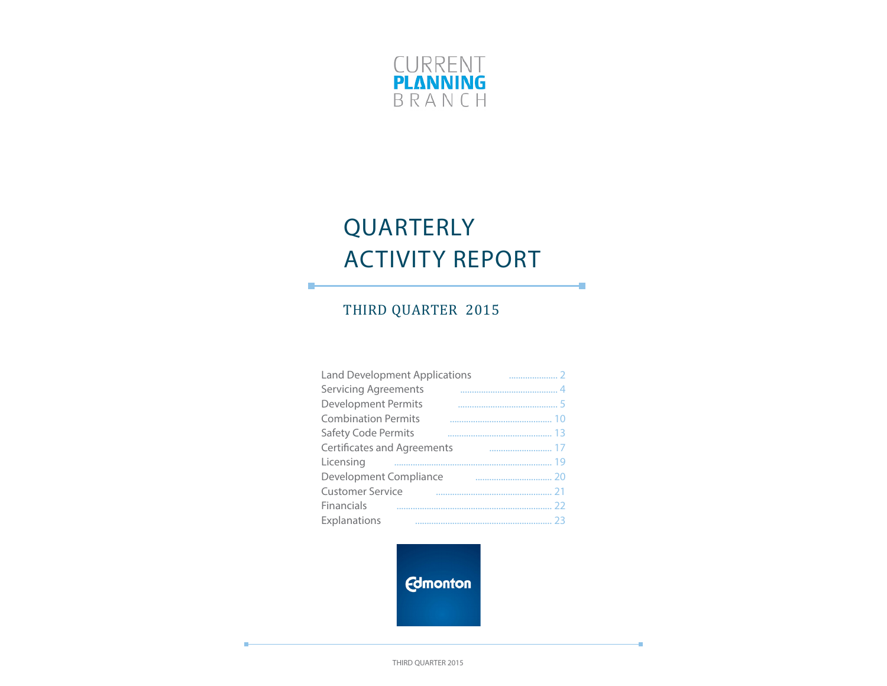

# QUARTERLY ACTIVITY REPORT

÷

÷

# THIRD QUARTER 2015

П

| <b>Land Development Applications</b> |  |
|--------------------------------------|--|
| <b>Servicing Agreements</b>          |  |
| <b>Development Permits</b>           |  |
| <b>Combination Permits</b>           |  |
| Safety Code Permits                  |  |
| <b>Certificates and Agreements</b>   |  |
| Licensing                            |  |
| Development Compliance               |  |
| <b>Customer Service</b>              |  |
| Financials                           |  |
| Explanations                         |  |

**Edmonton** 

THIRD QUARTER 2015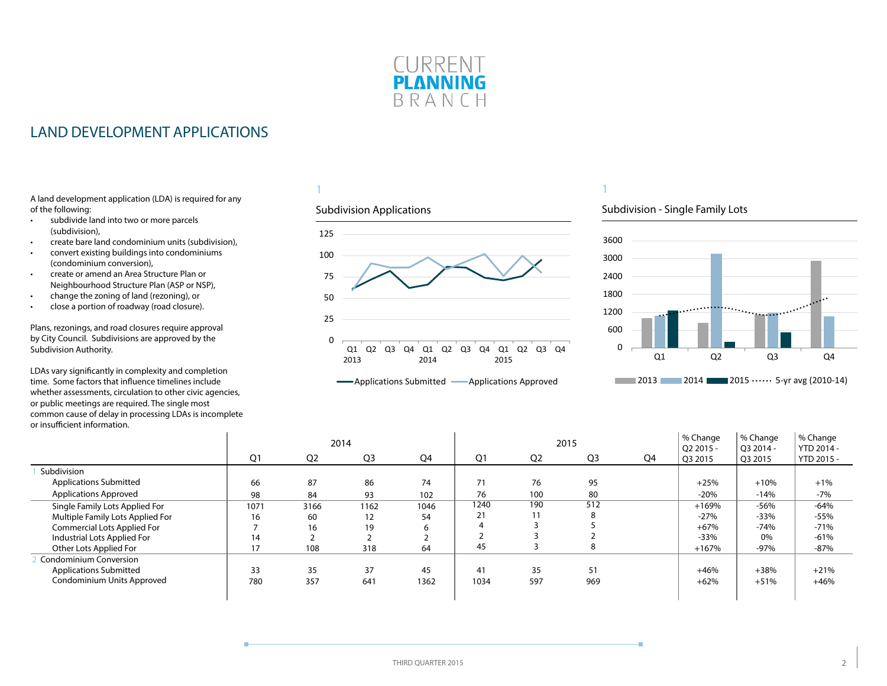

# <span id="page-1-0"></span>LAND DEVELOPMENT APPLICATIONS

A land development application (LDA) is required for any of the following:

- subdivide land into two or more parcels (subdivision),
- create bare land condominium units (subdivision),
- convert existing buildings into condominiums (condominium conversion),
- create or amend an Area Structure Plan or Neighbourhood Structure Plan (ASP or NSP),
- change the zoning of land (rezoning), or
- close a portion of roadway (road closure).

Plans, rezonings, and road closures require approval by City Council. Subdivisions are approved by the Subdivision Authority.

LDAs vary significantly in complexity and completion time. Some factors that influence timelines include whether assessments, circulation to other civic agencies, or public meetings are required. The single most common cause of delay in processing LDAs is incomplete or insufficient information.  $\mathbf{r}$ 

### 1

#### Subdivision Applications



# 1

### Subdivision - Single Family Lots



|                                  |      |                | 2014           |      |      |                | 2015 |    | % Change<br>$O22015 -$ | % Change<br>O3 2014 - | % Change<br>YTD 2014 - |
|----------------------------------|------|----------------|----------------|------|------|----------------|------|----|------------------------|-----------------------|------------------------|
|                                  | Q1   | Q <sub>2</sub> | Q <sub>3</sub> | Q4   | Q1   | Q <sub>2</sub> | Q3   | Q4 | Q3 2015                | Q3 2015               | YTD 2015 -             |
| Subdivision                      |      |                |                |      |      |                |      |    |                        |                       |                        |
| <b>Applications Submitted</b>    | 66   | 87             | 86             | 74   |      | 76             | 95   |    | $+25%$                 | $+10%$                | $+1%$                  |
| <b>Applications Approved</b>     | 98   | 84             | 93             | 102  | 76   | 100            | 80   |    | $-20%$                 | $-14%$                | $-7%$                  |
| Single Family Lots Applied For   | 1071 | 3166           | 1162           | 1046 | 1240 | 190            | 512  |    | $+169%$                | $-56%$                | $-64%$                 |
| Multiple Family Lots Applied For | 16   | 60             | 12             | 54   | 21   | 11             |      |    | $-27%$                 | $-33%$                | $-55%$                 |
| Commercial Lots Applied For      |      | 16             | 19             | ь    |      |                |      |    | $+67%$                 | $-74%$                | $-71%$                 |
| Industrial Lots Applied For      | 14   |                |                |      |      |                |      |    | $-33%$                 | 0%                    | $-61%$                 |
| Other Lots Applied For           | 17   | 108            | 318            | 64   | 45   |                | ŏ    |    | $+167%$                | $-97%$                | -87%                   |
| <b>Condominium Conversion</b>    |      |                |                |      |      |                |      |    |                        |                       |                        |
| <b>Applications Submitted</b>    | 33   | 35             | 37             | 45   | 41   | 35             | 51   |    | $+46%$                 | $+38%$                | $+21%$                 |
| Condominium Units Approved       | 780  | 357            | 641            | 1362 | 1034 | 597            | 969  |    | $+62%$                 | $+51%$                | $+46%$                 |
|                                  |      |                |                |      |      |                |      |    |                        |                       |                        |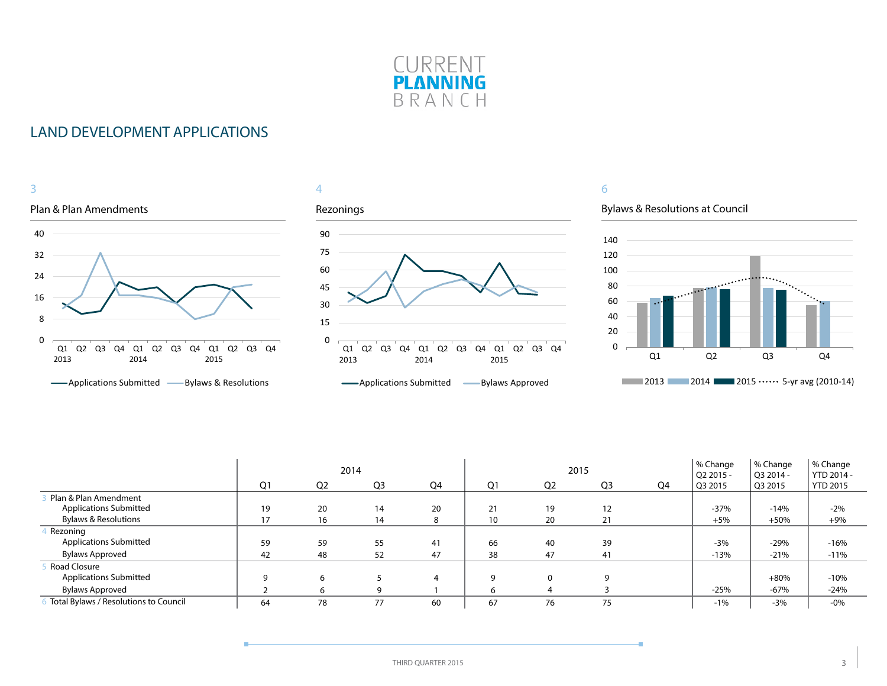

# LAND DEVELOPMENT APPLICATIONS



|                                       | 2014<br>Q <sub>1</sub> |                |                |    |                | 2015           |                | % Change<br>$O22015 -$ | % Change<br>O3 2014 - | % Change<br>YTD 2014 - |                 |
|---------------------------------------|------------------------|----------------|----------------|----|----------------|----------------|----------------|------------------------|-----------------------|------------------------|-----------------|
|                                       |                        | Q <sub>2</sub> | Q <sub>3</sub> | Q4 | Q <sub>1</sub> | Q <sub>2</sub> | Q <sub>3</sub> | Q4                     | $^{\circ}$ Q3 2015    | Q3 2015                | <b>YTD 2015</b> |
| Plan & Plan Amendment                 |                        |                |                |    |                |                |                |                        |                       |                        |                 |
| <b>Applications Submitted</b>         | 19                     | 20             | 14             | 20 | 21             | 19             | 12             |                        | $-37%$                | $-14%$                 | $-2%$           |
| <b>Bylaws &amp; Resolutions</b>       | 17                     | 16             | 14             | 8  | 10             | 20             | 21             |                        | $+5%$                 | $+50%$                 | $+9%$           |
| Rezoning                              |                        |                |                |    |                |                |                |                        |                       |                        |                 |
| <b>Applications Submitted</b>         | 59                     | 59             | 55             | 41 | 66             | 40             | 39             |                        | $-3%$                 | $-29%$                 | $-16%$          |
| <b>Bylaws Approved</b>                | 42                     | 48             | 52             | 47 | 38             | 47             | 41             |                        | $-13%$                | $-21%$                 | $-11%$          |
| Road Closure                          |                        |                |                |    |                |                |                |                        |                       |                        |                 |
| <b>Applications Submitted</b>         | a                      | 6              |                |    |                |                | q              |                        |                       | $+80%$                 | $-10%$          |
| <b>Bylaws Approved</b>                |                        | h              | q              |    |                |                |                |                        | $-25%$                | $-67%$                 | $-24%$          |
| Total Bylaws / Resolutions to Council | 64                     | 78             | 77             | 60 | 67             | 76             | 75             |                        | $-1%$                 | $-3%$                  | $-0\%$          |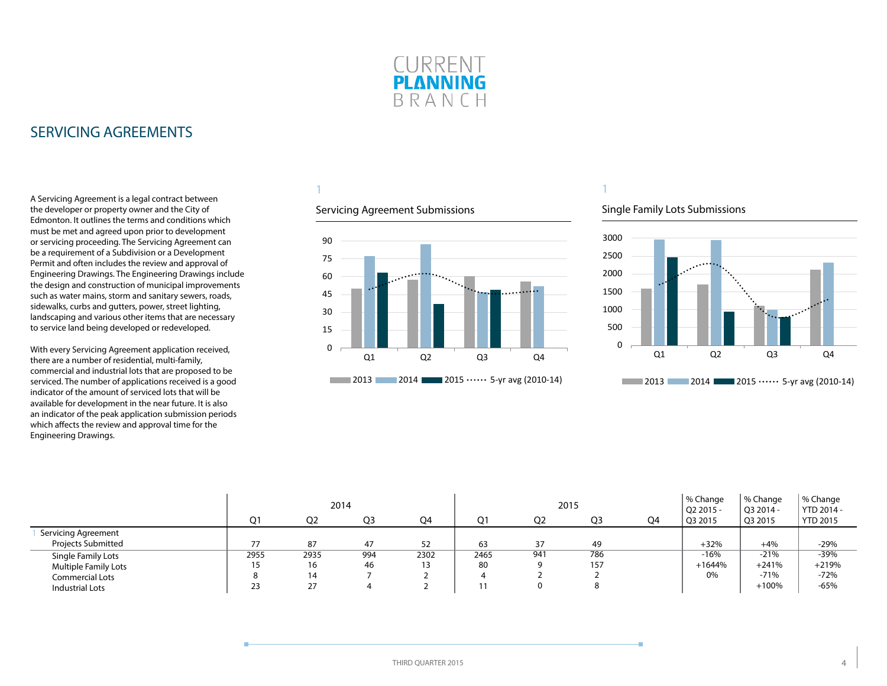

# <span id="page-3-0"></span>SERVICING AGREEMENTS

A Servicing Agreement is a legal contract between the developer or property owner and the City of Edmonton. It outlines the terms and conditions which must be met and agreed upon prior to development or servicing proceeding. The Servicing Agreement can be a requirement of a Subdivision or a Development Permit and often includes the review and approval of Engineering Drawings. The Engineering Drawings include the design and construction of municipal improvements such as water mains, storm and sanitary sewers, roads, sidewalks, curbs and gutters, power, street lighting, landscaping and various other items that are necessary to service land being developed or redeveloped.

With every Servicing Agreement application received, there are a number of residential, multi-family, commercial and industrial lots that are proposed to be serviced. The number of applications received is a good indicator of the amount of serviced lots that will be available for development in the near future. It is also an indicator of the peak application submission periods which affects the review and approval time for the Engineering Drawings.

# 1

#### Servicing Agreement Submissions



#### Single Family Lots Submissions



|                           |      | 2014           |     |      |      |                | 2015           |    | % Change<br>Q2 2015 - | % Change<br>Q3 2014 - | % Change<br>YTD 2014 - |
|---------------------------|------|----------------|-----|------|------|----------------|----------------|----|-----------------------|-----------------------|------------------------|
|                           | Q1   | Q <sub>2</sub> | Q3  | Q4   | Ο1   | Q <sub>2</sub> | Q <sub>3</sub> | Q4 | Q3 2015               | Q3 2015               | <b>YTD 2015</b>        |
| Servicing Agreement       |      |                |     |      |      |                |                |    |                       |                       |                        |
| <b>Projects Submitted</b> | 77   | 87             | 47  | 52   | 63   | 37             | 49             |    | $+32%$                | $+4%$                 | $-29%$                 |
| Single Family Lots        | 2955 | 2935           | 994 | 2302 | 2465 | 941            | 786            |    | $-16%$                | $-21%$                | $-39%$                 |
| Multiple Family Lots      | 15   | 16             | 46  | ر ا  | 80   |                | 157            |    | $+1644%$              | $+241%$               | $+219%$                |
| Commercial Lots           |      | 14             |     |      |      |                |                |    | 0%                    | $-71%$                | $-72%$                 |
| Industrial Lots           | 23   | 27             |     |      |      |                |                |    |                       | $+100%$               | $-65%$                 |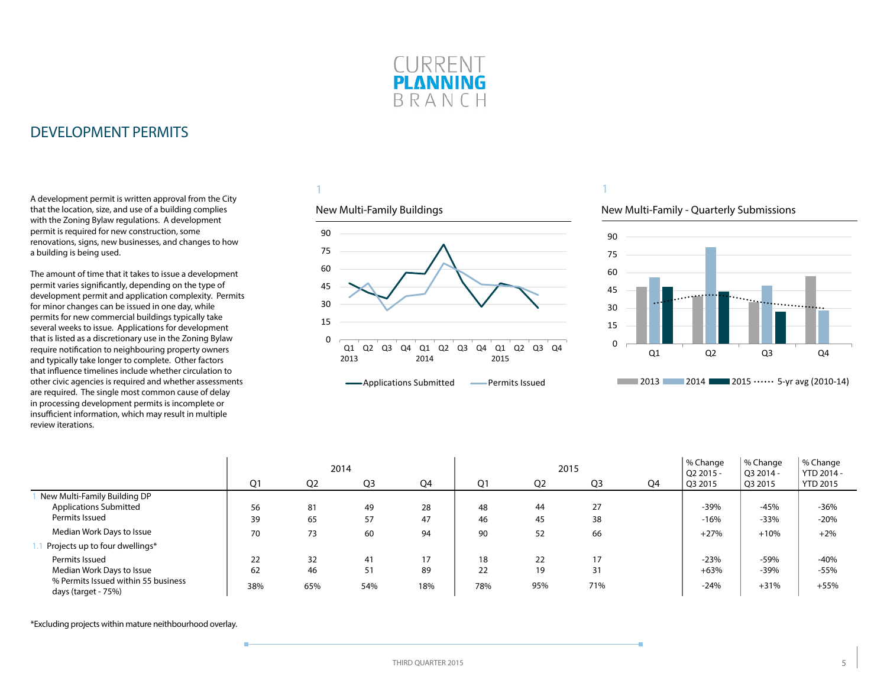

<span id="page-4-0"></span>A development permit is written approval from the City that the location, size, and use of a building complies with the Zoning Bylaw regulations. A development permit is required for new construction, some renovations, signs, new businesses, and changes to how a building is being used.

The amount of time that it takes to issue a development permit varies significantly, depending on the type of development permit and application complexity. Permits for minor changes can be issued in one day, while permits for new commercial buildings typically take several weeks to issue. Applications for development that is listed as a discretionary use in the Zoning Bylaw require notification to neighbouring property owners and typically take longer to complete. Other factors that influence timelines include whether circulation to other civic agencies is required and whether assessments are required. The single most common cause of delay in processing development permits is incomplete or insufficient information, which may result in multiple review iterations.

### 1

#### New Multi-Family Buildings



# New Multi-Family - Quarterly Submissions

1



|                                                            |                |                | 2014 |     |     |                | 2015 |    | % Change<br>Q2 2015 - | % Change<br>Q3 2014 - | % Change<br>YTD 2014 - |
|------------------------------------------------------------|----------------|----------------|------|-----|-----|----------------|------|----|-----------------------|-----------------------|------------------------|
|                                                            | Q <sub>1</sub> | Q <sub>2</sub> | Q3   | Q4  | Q1  | Q <sub>2</sub> | Q3   | Q4 | Q3 2015               | Q3 2015               | <b>YTD 2015</b>        |
| New Multi-Family Building DP                               |                |                |      |     |     |                |      |    |                       |                       |                        |
| <b>Applications Submitted</b>                              | 56             | 81             | 49   | 28  | 48  | 44             | 27   |    | $-39%$                | $-45%$                | $-36%$                 |
| Permits Issued                                             | 39             | 65             | 57   | 47  | 46  | 45             | 38   |    | $-16%$                | $-33%$                | $-20%$                 |
| Median Work Days to Issue                                  | 70             | 73             | 60   | 94  | 90  | 52             | 66   |    | $+27%$                | $+10%$                | $+2%$                  |
| Projects up to four dwellings*                             |                |                |      |     |     |                |      |    |                       |                       |                        |
| Permits Issued                                             | 22             | 32             | 41   | 17  | 18  | 22             | 17   |    | $-23%$                | $-59%$                | $-40%$                 |
| Median Work Days to Issue                                  | 62             | 46             | 51   | 89  | 22  | 19             | 31   |    | $+63%$                | $-39%$                | $-55%$                 |
| % Permits Issued within 55 business<br>days (target - 75%) | 38%            | 65%            | 54%  | 18% | 78% | 95%            | 71%  |    | $-24%$                | $+31%$                | $+55%$                 |

\*Excluding projects within mature neithbourhood overlay.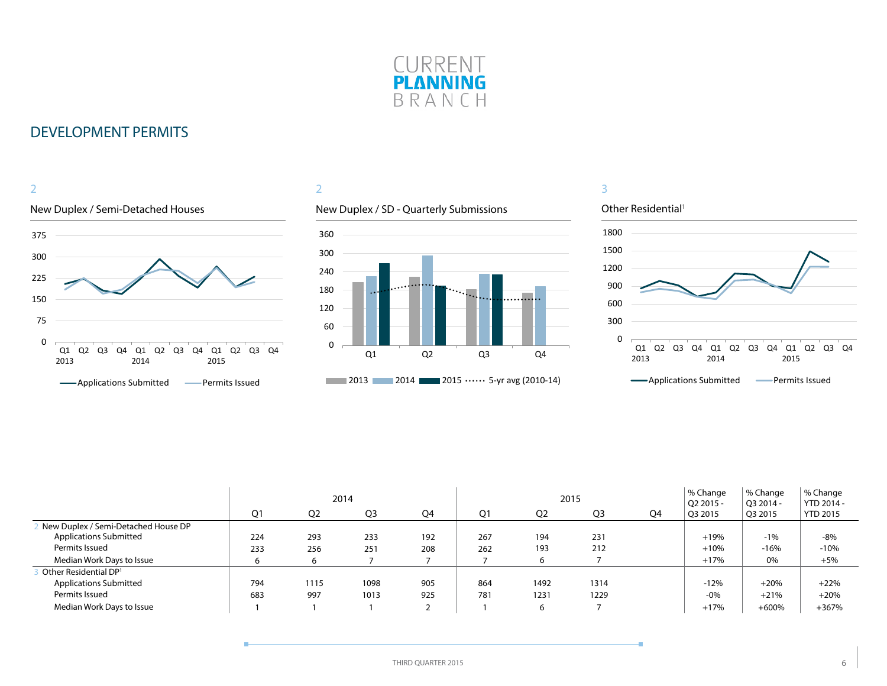



### 2

### New Duplex / SD - Quarterly Submissions



#### Other Residential<sup>1</sup> 0 300 600 900 1200 1500 1800 Q1 Q2 Q3 Q4 Q1 2013 2014 Q2 Q3 Q4 Q1 2015 Q2 Q3 Q4 **-**Applications Submitted **-** Permits Issued

|                                     |                |                | 2014           |     |     |                | 2015           |    | % Change<br>Q2 2015 - | % Change<br>O3 2014 - | % Change<br>YTD 2014 - |
|-------------------------------------|----------------|----------------|----------------|-----|-----|----------------|----------------|----|-----------------------|-----------------------|------------------------|
|                                     | O <sub>1</sub> | Q <sub>2</sub> | Q <sub>3</sub> | Q4  | Ο1  | Q <sub>2</sub> | O <sub>3</sub> | Q4 | Q3 2015               | O3 2015               | <b>YTD 2015</b>        |
| New Duplex / Semi-Detached House DP |                |                |                |     |     |                |                |    |                       |                       |                        |
| <b>Applications Submitted</b>       | 224            | 293            | 233            | 192 | 267 | 194            | 231            |    | $+19%$                | $-1%$                 | $-8%$                  |
| Permits Issued                      | 233            | 256            | 251            | 208 | 262 | 193            | 212            |    | $+10%$                | $-16%$                | $-10%$                 |
| Median Work Days to Issue           | 6              | h              |                |     |     | b              |                |    | $+17%$                | 0%                    | $+5%$                  |
| Other Residential DP <sup>1</sup>   |                |                |                |     |     |                |                |    |                       |                       |                        |
| <b>Applications Submitted</b>       | 794            | 1115           | 1098           | 905 | 864 | 1492           | 1314           |    | $-12%$                | $+20%$                | $+22%$                 |
| Permits Issued                      | 683            | 997            | 1013           | 925 | 781 | 1231           | 1229           |    | $-0\%$                | $+21%$                | $+20%$                 |
| Median Work Days to Issue           |                |                |                |     |     | 6              |                |    | $+17%$                | $+600%$               | $+367%$                |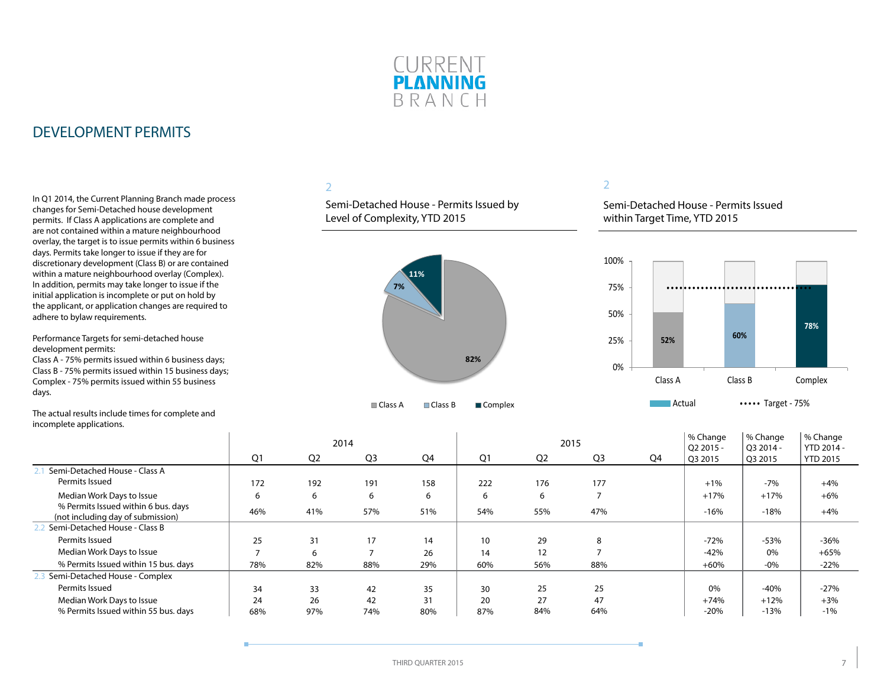

In Q1 2014, the Current Planning Branch made process changes for Semi-Detached house development permits. If Class A applications are complete and are not contained within a mature neighbourhood overlay, the target is to issue permits within 6 business days. Permits take longer to issue if they are for discretionary development (Class B) or are contained within a mature neighbourhood overlay (Complex). In addition, permits may take longer to issue if the initial application is incomplete or put on hold by the applicant, or application changes are required to adhere to bylaw requirements.

Performance Targets for semi-detached house development permits:

Class A - 75% permits issued within 6 business days; Class B - 75% permits issued within 15 business days; Complex - 75% permits issued within 55 business days.

The actual results include times for complete and incomplete applications.

### 2

Semi-Detached House - Permits Issued by Level of Complexity, YTD 2015



### 2

Semi-Detached House - Permits Issued within Target Time, YTD 2015



|                                                                          |     |                | 2014           |     |     |                | 2015           |    | % Change<br>Q2 2015 - | % Change<br>Q3 2014 - | % Change<br>YTD 2014 - |
|--------------------------------------------------------------------------|-----|----------------|----------------|-----|-----|----------------|----------------|----|-----------------------|-----------------------|------------------------|
|                                                                          | Q1  | Q <sub>2</sub> | Q <sub>3</sub> | Q4  | Q1  | Q <sub>2</sub> | Q <sub>3</sub> | Q4 | Q3 2015               | Q3 2015               | <b>YTD 2015</b>        |
| Semi-Detached House - Class A                                            |     |                |                |     |     |                |                |    |                       |                       |                        |
| Permits Issued                                                           | 172 | 192            | 191            | 158 | 222 | 176            | 177            |    | $+1%$                 | $-7%$                 | $+4%$                  |
| Median Work Days to Issue                                                | 6   | 6              | 6              | 6   | 6   | 6              |                |    | $+17%$                | $+17%$                | $+6%$                  |
| % Permits Issued within 6 bus. days<br>(not including day of submission) | 46% | 41%            | 57%            | 51% | 54% | 55%            | 47%            |    | $-16%$                | $-18%$                | $+4%$                  |
| Semi-Detached House - Class B                                            |     |                |                |     |     |                |                |    |                       |                       |                        |
| Permits Issued                                                           | 25  | 31             | 17             | 14  | 10  | 29             | 8              |    | $-72%$                | $-53%$                | $-36%$                 |
| Median Work Days to Issue                                                |     | 6              |                | 26  | 14  | 12             |                |    | $-42%$                | 0%                    | $+65%$                 |
| % Permits Issued within 15 bus. days                                     | 78% | 82%            | 88%            | 29% | 60% | 56%            | 88%            |    | $+60%$                | $-0\%$                | $-22%$                 |
| Semi-Detached House - Complex                                            |     |                |                |     |     |                |                |    |                       |                       |                        |
| Permits Issued                                                           | 34  | 33             | 42             | 35  | 30  | 25             | 25             |    | 0%                    | $-40%$                | $-27%$                 |
| Median Work Days to Issue                                                | 24  | 26             | 42             | 31  | 20  | 27             | 47             |    | $+74%$                | $+12%$                | $+3%$                  |
| % Permits Issued within 55 bus. days                                     | 68% | 97%            | 74%            | 80% | 87% | 84%            | 64%            |    | $-20%$                | $-13%$                | $-1%$                  |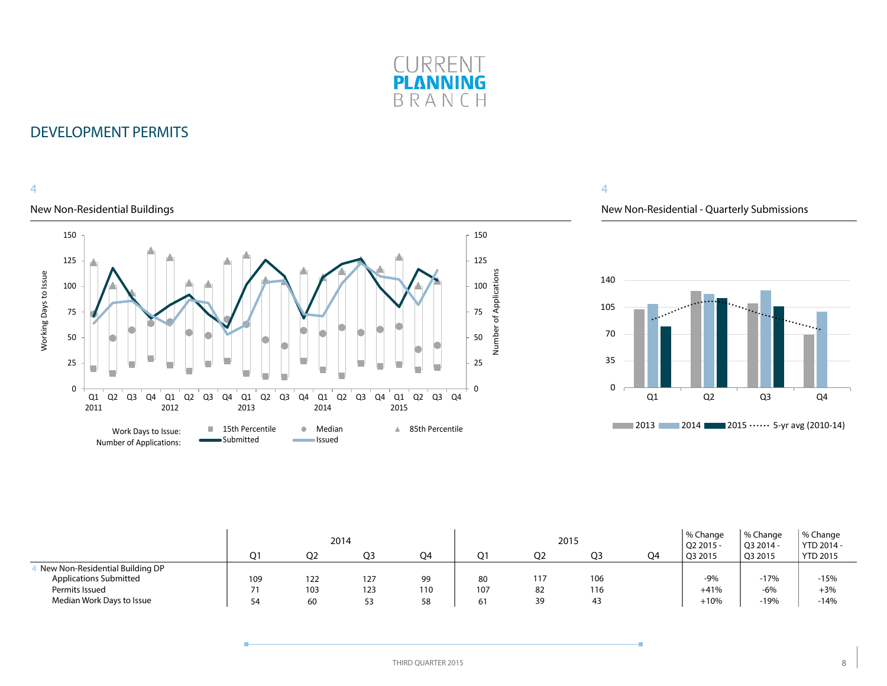

### 4

### New Non-Residential Buildings



### 4

### New Non-Residential - Quarterly Submissions



|                                 |       |     | 2014 |     |     | 2015           |     |                | % Change<br>Q2 2015 | % Change<br>Q3 2014 - | % Change<br>YTD 2014 - |
|---------------------------------|-------|-----|------|-----|-----|----------------|-----|----------------|---------------------|-----------------------|------------------------|
|                                 | $O^*$ | O2  | O3   | O4  | N 1 | O <sub>2</sub> | OЗ  | O <sub>4</sub> | Q3 2015             | Q3 2015               | YTD 2015               |
| New Non-Residential Building DP |       |     |      |     |     |                |     |                |                     |                       |                        |
| <b>Applications Submitted</b>   | 109   | 122 | 127  | 99  | 80  | 117            | 106 |                | $-9%$               | $-17%$                | $-15%$                 |
| Permits Issued                  |       | 103 | 123  | 110 | 107 | 82             | 116 |                | $+41%$              | -6%                   | $+3%$                  |
| Median Work Days to Issue       | 54    | 60  | ر ر  | 58  |     | 39             | 43  |                | $+10%$              | $-19%$                | $-14%$                 |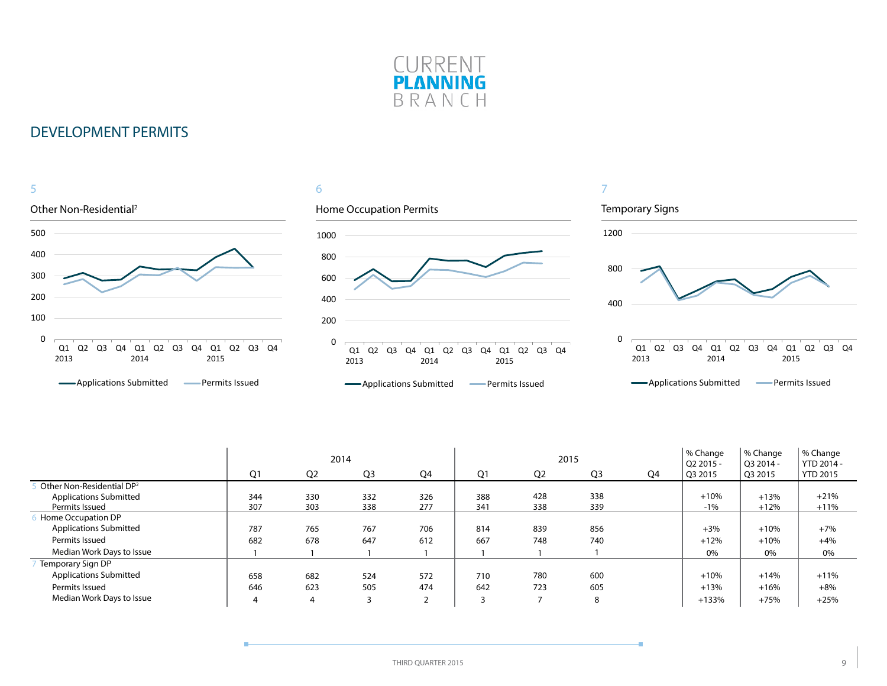



|                                       |     |                | 2014           |                   |     | 2015           |                |    | % Change<br>Q2 2015 - | % Change<br>O3 2014 - | % Change<br>YTD 2014 - |
|---------------------------------------|-----|----------------|----------------|-------------------|-----|----------------|----------------|----|-----------------------|-----------------------|------------------------|
|                                       | Q1  | Q <sub>2</sub> | Q <sub>3</sub> | Q4                | Q1  | Q <sub>2</sub> | Q <sub>3</sub> | Q4 | Q3 2015               | Q3 2015               | <b>YTD 2015</b>        |
| Other Non-Residential DP <sup>2</sup> |     |                |                |                   |     |                |                |    |                       |                       |                        |
| <b>Applications Submitted</b>         | 344 | 330            | 332            | 326               | 388 | 428            | 338            |    | $+10%$                | $+13%$                | $+21%$                 |
| Permits Issued                        | 307 | 303            | 338            | 277               | 341 | 338            | 339            |    | $-1%$                 | $+12%$                | $+11%$                 |
| Home Occupation DP                    |     |                |                |                   |     |                |                |    |                       |                       |                        |
| <b>Applications Submitted</b>         | 787 | 765            | 767            | 706               | 814 | 839            | 856            |    | $+3%$                 | $+10%$                | $+7%$                  |
| Permits Issued                        | 682 | 678            | 647            | 612               | 667 | 748            | 740            |    | $+12%$                | $+10%$                | $+4%$                  |
| Median Work Days to Issue             |     |                |                |                   |     |                |                |    | 0%                    | 0%                    | 0%                     |
| Temporary Sign DP                     |     |                |                |                   |     |                |                |    |                       |                       |                        |
| <b>Applications Submitted</b>         | 658 | 682            | 524            | 572               | 710 | 780            | 600            |    | $+10%$                | $+14%$                | $+11%$                 |
| Permits Issued                        | 646 | 623            | 505            | 474               | 642 | 723            | 605            |    | $+13%$                | $+16%$                | $+8%$                  |
| Median Work Days to Issue             | 4   | 4              | 3              | $\mathbf{\hat{}}$ | 3   | -              | 8              |    | $+133%$               | $+75%$                | $+25%$                 |

÷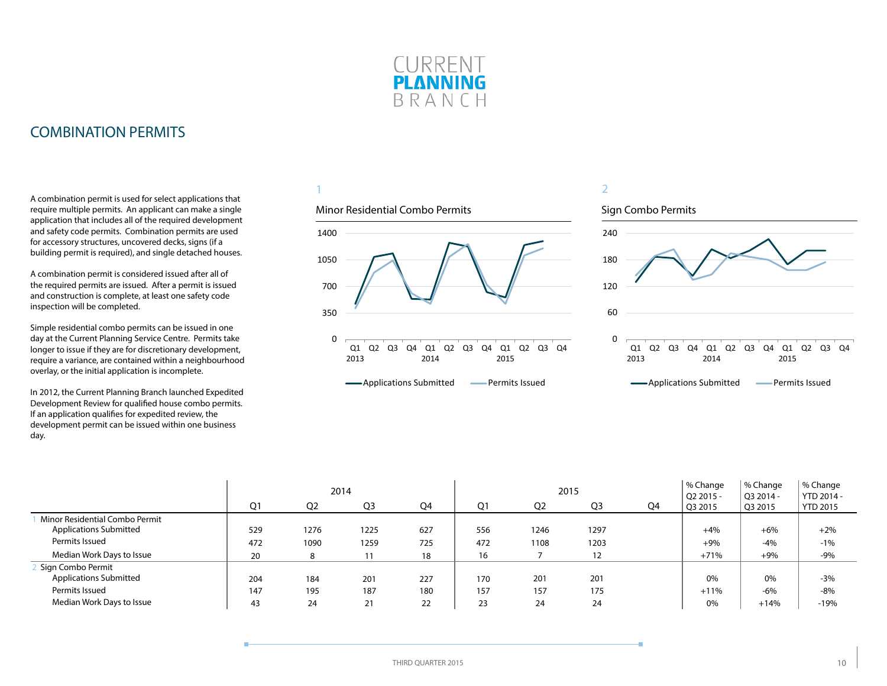

# <span id="page-9-0"></span>COMBINATION PERMITS

A combination permit is used for select applications that require multiple permits. An applicant can make a single application that includes all of the required development and safety code permits. Combination permits are used for accessory structures, uncovered decks, signs (if a building permit is required), and single detached houses.

A combination permit is considered issued after all of the required permits are issued. After a permit is issued and construction is complete, at least one safety code inspection will be completed.

Simple residential combo permits can be issued in one day at the Current Planning Service Centre. Permits take longer to issue if they are for discretionary development, require a variance, are contained within a neighbourhood overlay, or the initial application is incomplete.

In 2012, the Current Planning Branch launched Expedited Development Review for qualified house combo permits. If an application qualifies for expedited review, the development permit can be issued within one business day.

1

### Minor Residential Combo Permits



**-**Applications Submitted **-** Permits Issued



|                                |     |                | 2014           |     |     |                | 2015           |    | % Change<br>Q2 2015 - | % Change<br>Q3 2014 - | % Change<br>YTD 2014 - |
|--------------------------------|-----|----------------|----------------|-----|-----|----------------|----------------|----|-----------------------|-----------------------|------------------------|
|                                | Q1  | Q <sub>2</sub> | Q <sub>3</sub> | Q4  | Ο1  | Q <sub>2</sub> | Q <sub>3</sub> | Q4 | Q3 2015               | Q3 2015               | <b>YTD 2015</b>        |
| Minor Residential Combo Permit |     |                |                |     |     |                |                |    |                       |                       |                        |
| <b>Applications Submitted</b>  | 529 | 1276           | 1225           | 627 | 556 | 1246           | 1297           |    | $+4%$                 | $+6%$                 | $+2%$                  |
| Permits Issued                 | 472 | 1090           | 1259           | 725 | 472 | 1108           | 1203           |    | $+9%$                 | $-4%$                 | $-1%$                  |
| Median Work Days to Issue      | 20  |                |                | 18  | 16  |                | 12             |    | $+71%$                | $+9%$                 | $-9%$                  |
| Sign Combo Permit              |     |                |                |     |     |                |                |    |                       |                       |                        |
| <b>Applications Submitted</b>  | 204 | 184            | 201            | 227 | 170 | 201            | 201            |    | 0%                    | 0%                    | $-3%$                  |
| Permits Issued                 | 147 | 195            | 187            | 180 | 157 | 157            | 175            |    | $+11%$                | $-6%$                 | $-8%$                  |
| Median Work Days to Issue      | 43  | 24             | 21             | 22  | 23  | 24             | 24             |    | 0%                    | $+14%$                | $-19%$                 |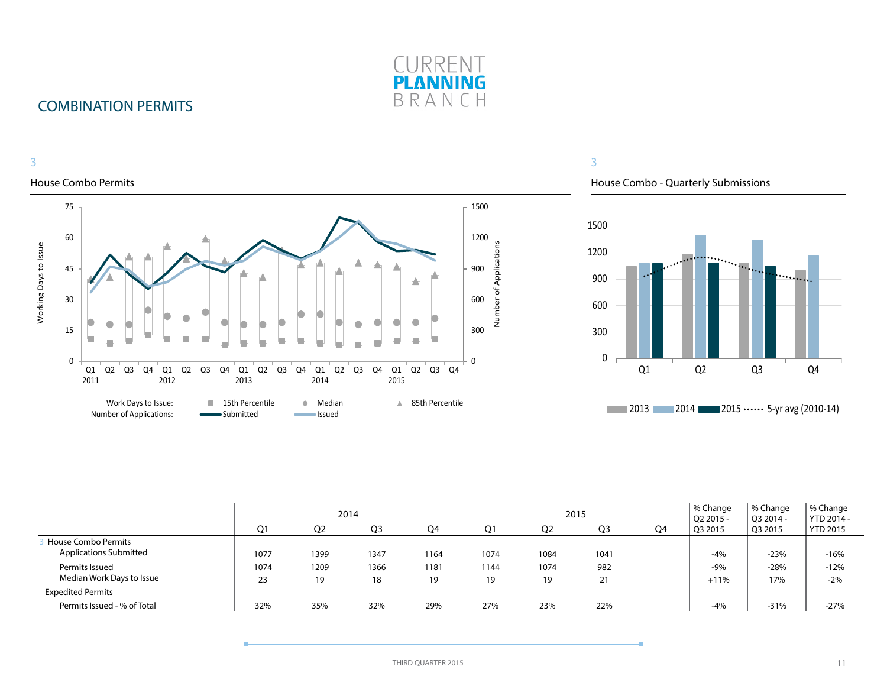

# COMBINATION PERMITS

#### 3 3 House Combo Permits House Combo - Quarterly Submissions 75 1500 1500 60 1200 Number of Applications Working Days to Issue Number of Applications Working Days to Issue 1200 <u>mand</u> ... 900 45 900 600 30 600 300 15 300 0 0 0 Q2 Q3 Q4 Q1 Q2 Q3 Q4 Q1 Q2 Q3 Q4 Q1 Q2 Q3 Q4 Q1 Q2 Q3 Q4 Q1 Q1 Q2 Q3 Q4 2011 2012 2013 2014 2015 Work Days to Issue: **15th Percentile 15th Percentile** Median **15th Percentile 2013 2014 2015 ••••••** 5-yr avg (2010-14) Number of Applications:Submitted **Issued**

|                                                      |                |                | 2014           |            |            |                | 2015           |    | % Change<br>$\sqrt{Q}$ 2015 - | % Change<br>O3 2014 - | % Change<br>YTD 2014 - |
|------------------------------------------------------|----------------|----------------|----------------|------------|------------|----------------|----------------|----|-------------------------------|-----------------------|------------------------|
|                                                      | O <sub>1</sub> | O <sub>2</sub> | Q <sub>3</sub> | Q4         | Ο1         | Q <sub>2</sub> | Q <sub>3</sub> | Q4 | Q3 2015                       | Q3 2015               | <b>YTD 2015</b>        |
| House Combo Permits<br><b>Applications Submitted</b> | 1077           | 1399           | 1347           | 1164       | 1074       | 1084           | 1041           |    | -4%                           | $-23%$                | $-16%$                 |
| Permits Issued<br>Median Work Days to Issue          | 1074<br>23     | 1209<br>19     | 1366<br>18     | 1181<br>19 | 1144<br>19 | 1074<br>19     | 982<br>21      |    | $-9%$<br>$+11%$               | $-28%$<br>17%         | $-12%$<br>$-2%$        |
| <b>Expedited Permits</b>                             |                |                |                |            |            |                |                |    |                               |                       |                        |
| Permits Issued - % of Total                          | 32%            | 35%            | 32%            | 29%        | 27%        | 23%            | 22%            |    | -4%                           | $-31%$                | $-27%$                 |

#### THIRD QUARTER 2015 2015 2016 2017 2022 2023 2024 2022 2022 2023 2024 2022 2023 2024 2022 2023 2024 2022 2023 2022 2023 2024 2022 2023 2022 2023 2022 2023 2022 2023 2022 2023 2022 2023 2022 2023 2022 2023 2022 2023 2022 202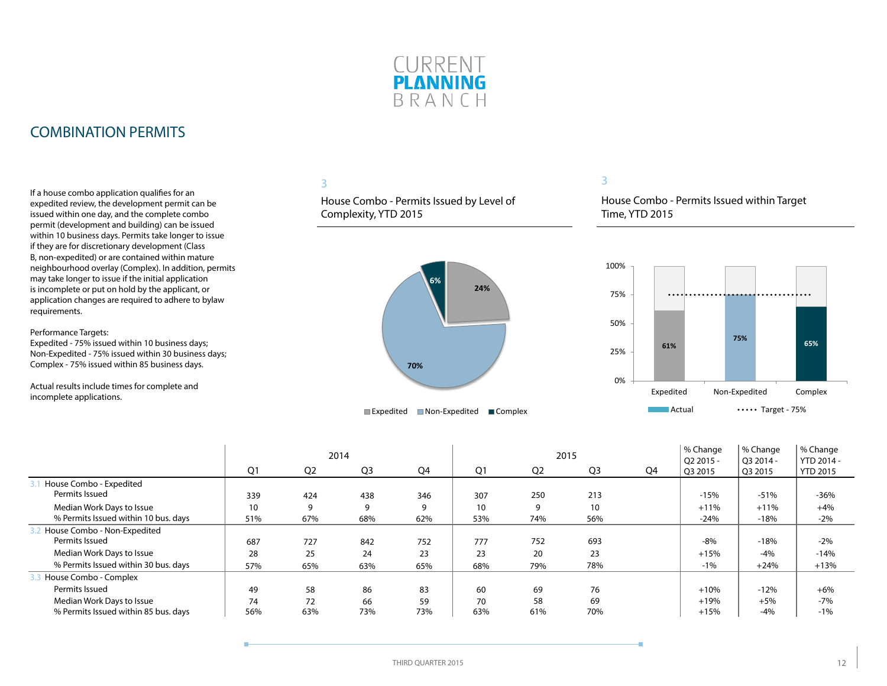

# COMBINATION PERMITS

If a house combo application qualifies for an expedited review, the development permit can be issued within one day, and the complete combo permit (development and building) can be issued within 10 business days. Permits take longer to issue if they are for discretionary development (Class B, non-expedited) or are contained within mature neighbourhood overlay (Complex). In addition, permits may take longer to issue if the initial application is incomplete or put on hold by the applicant, or application changes are required to adhere to bylaw requirements.

Performance Targets:

Expedited - 75% issued within 10 business days; Non-Expedited - 75% issued within 30 business days; Complex - 75% issued within 85 business days.

Actual results include times for complete and incomplete applications.

### 3

House Combo - Permits Issued by Level of Complexity, YTD 2015



#### 3

House Combo - Permits Issued within Target Time, YTD 2015



|                                      |                 |                | 2014           |     |     |                | 2015 |    | % Change<br>$O22015 -$ | % Change<br>O3 2014 - | % Change<br>YTD 2014 - |
|--------------------------------------|-----------------|----------------|----------------|-----|-----|----------------|------|----|------------------------|-----------------------|------------------------|
|                                      | Q <sub>1</sub>  | Q <sub>2</sub> | Q <sub>3</sub> | Q4  | Q1  | Q <sub>2</sub> | Q3   | Q4 | Q3 2015                | Q3 2015               | <b>YTD 2015</b>        |
| House Combo - Expedited              |                 |                |                |     |     |                |      |    |                        |                       |                        |
| Permits Issued                       | 339             | 424            | 438            | 346 | 307 | 250            | 213  |    | $-15%$                 | $-51%$                | $-36%$                 |
| Median Work Days to Issue            | 10 <sup>°</sup> | 9              | 9              | 9   | 10  | 9              | 10   |    | $+11%$                 | $+11%$                | $+4%$                  |
| % Permits Issued within 10 bus. days | 51%             | 67%            | 68%            | 62% | 53% | 74%            | 56%  |    | $-24%$                 | $-18%$                | $-2%$                  |
| House Combo - Non-Expedited          |                 |                |                |     |     |                |      |    |                        |                       |                        |
| Permits Issued                       | 687             | 727            | 842            | 752 | 777 | 752            | 693  |    | $-8%$                  | $-18%$                | $-2%$                  |
| Median Work Days to Issue            | 28              | 25             | 24             | 23  | 23  | 20             | 23   |    | $+15%$                 | $-4%$                 | $-14%$                 |
| % Permits Issued within 30 bus. days | 57%             | 65%            | 63%            | 65% | 68% | 79%            | 78%  |    | $-1%$                  | $+24%$                | $+13%$                 |
| House Combo - Complex                |                 |                |                |     |     |                |      |    |                        |                       |                        |
| Permits Issued                       | 49              | 58             | 86             | 83  | 60  | 69             | 76   |    | $+10%$                 | $-12%$                | $+6%$                  |
| Median Work Days to Issue            | 74              | 72             | 66             | 59  | 70  | 58             | 69   |    | $+19%$                 | $+5%$                 | $-7%$                  |
| % Permits Issued within 85 bus. days | 56%             | 63%            | 73%            | 73% | 63% | 61%            | 70%  |    | $+15%$                 | $-4%$                 | $-1%$                  |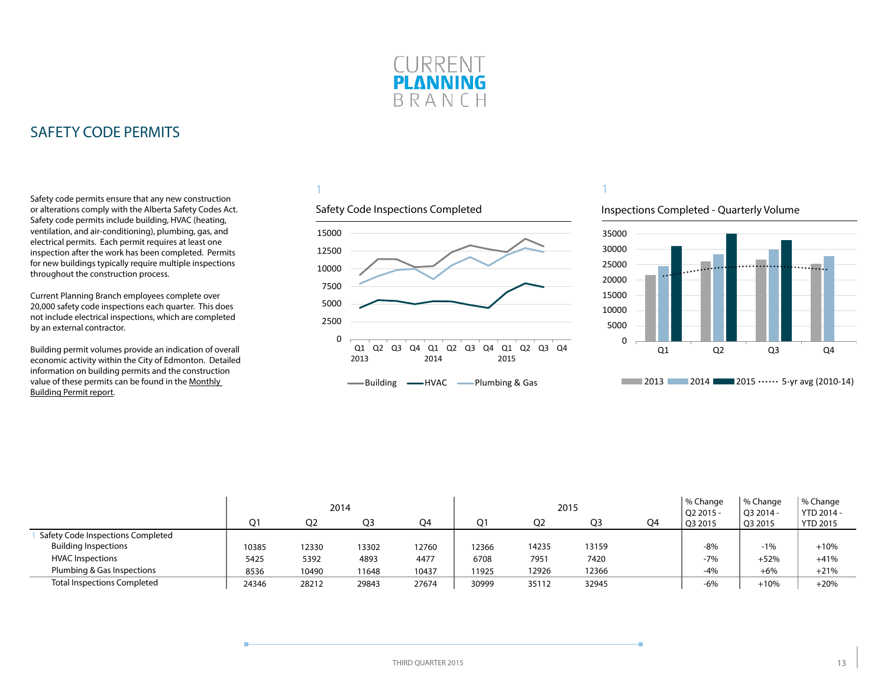

<span id="page-12-0"></span>Safety code permits ensure that any new construction or alterations comply with the Alberta Safety Codes Act. Safety code permits include building, HVAC (heating, ventilation, and air-conditioning), plumbing, gas, and electrical permits. Each permit requires at least one inspection after the work has been completed. Permits for new buildings typically require multiple inspections throughout the construction process.

Current Planning Branch employees complete over 20,000 safety code inspections each quarter. This does not include electrical inspections, which are completed by an external contractor.

Building permit volumes provide an indication of overall economic activity within the City of Edmonton. Detailed information on building permits and the construction value of these permits can be found in the [Monthly](http://www.edmonton.ca/buildingpermitreport)  [Building Permit report](http://www.edmonton.ca/buildingpermitreport).

# 1

# Safety Code Inspections Completed



#### Inspections Completed - Quarterly Volume



|                                    | 2014  |       |       |       | 2015  |       |       |    | % Change<br>O <sub>2</sub> 2015 | % Change<br>O3 2014 - | % Change<br>YTD 2014 - |
|------------------------------------|-------|-------|-------|-------|-------|-------|-------|----|---------------------------------|-----------------------|------------------------|
|                                    | O1    | O2    | O3    | O4    | O1    | Q2    | O3    | O4 | Q3 2015                         | Q3 2015               | <b>YTD 2015</b>        |
| Safety Code Inspections Completed  |       |       |       |       |       |       |       |    |                                 |                       |                        |
| <b>Building Inspections</b>        | 10385 | 12330 | 13302 | 12760 | 12366 | 14235 | 13159 |    | $-8%$                           | $-1%$                 | $+10%$                 |
| <b>HVAC Inspections</b>            | 5425  | 5392  | 4893  | 4477  | 6708  | 7951  | 7420  |    | $-7%$                           | $+52%$                | $+41%$                 |
| Plumbing & Gas Inspections         | 8536  | 10490 | 11648 | 10437 | 11925 | 12926 | 12366 |    | $-4%$                           | $+6%$                 | $+21%$                 |
| <b>Total Inspections Completed</b> | 24346 | 28212 | 29843 | 27674 | 30999 | 35112 | 32945 |    | $-6%$                           | $+10%$                | $+20%$                 |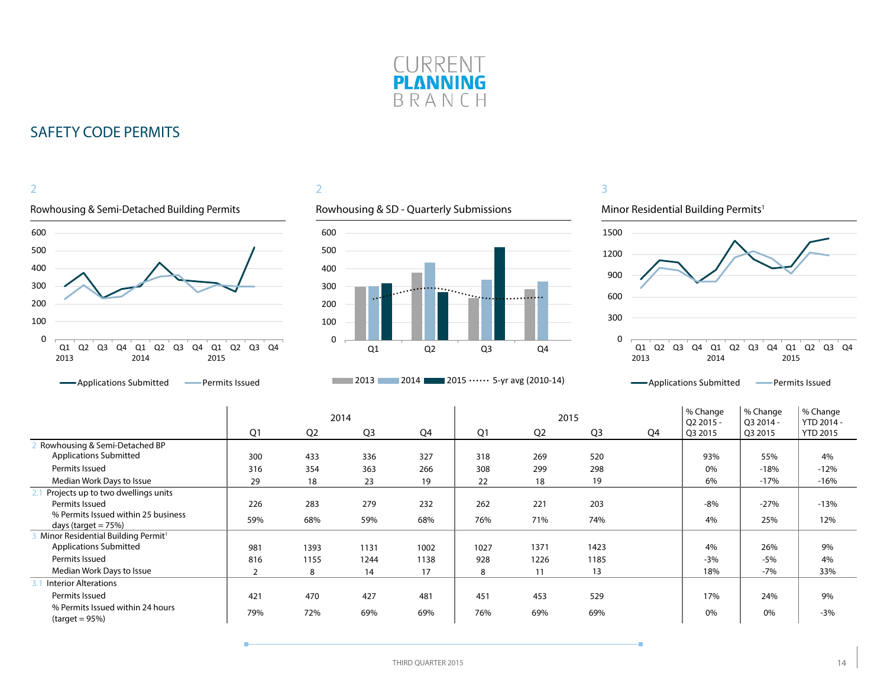



# 2



### **2013** 2014 2015  $\cdots$  5-yr avg (2010-14)



|                                                      |                |                | 2014           |      |                | 2015           |                | % Change<br>Q2 2015 - | % Change<br>Q3 2014 - | % Change<br>YTD 2014 - |                 |
|------------------------------------------------------|----------------|----------------|----------------|------|----------------|----------------|----------------|-----------------------|-----------------------|------------------------|-----------------|
|                                                      | Q1             | Q <sub>2</sub> | Q <sub>3</sub> | Q4   | Q <sub>1</sub> | Q <sub>2</sub> | Q <sub>3</sub> | Q4                    | Q3 2015               | Q3 2015                | <b>YTD 2015</b> |
| Rowhousing & Semi-Detached BP                        |                |                |                |      |                |                |                |                       |                       |                        |                 |
| <b>Applications Submitted</b>                        | 300            | 433            | 336            | 327  | 318            | 269            | 520            |                       | 93%                   | 55%                    | 4%              |
| Permits Issued                                       | 316            | 354            | 363            | 266  | 308            | 299            | 298            |                       | 0%                    | $-18%$                 | $-12%$          |
| Median Work Days to Issue                            | 29             | 18             | 23             | 19   | 22             | 18             | 19             |                       | 6%                    | $-17%$                 | $-16%$          |
| Projects up to two dwellings units                   |                |                |                |      |                |                |                |                       |                       |                        |                 |
| Permits Issued                                       | 226            | 283            | 279            | 232  | 262            | 221            | 203            |                       | $-8%$                 | $-27%$                 | $-13%$          |
| % Permits Issued within 25 business                  | 59%            | 68%            | 59%            | 68%  | 76%            | 71%            | 74%            |                       | 4%                    | 25%                    | 12%             |
| days (target $= 75\%$ )                              |                |                |                |      |                |                |                |                       |                       |                        |                 |
| Minor Residential Building Permit <sup>1</sup>       |                |                |                |      |                |                |                |                       |                       |                        |                 |
| <b>Applications Submitted</b>                        | 981            | 1393           | 1131           | 1002 | 1027           | 1371           | 1423           |                       | 4%                    | 26%                    | 9%              |
| Permits Issued                                       | 816            | 1155           | 1244           | 1138 | 928            | 1226           | 1185           |                       | $-3%$                 | $-5%$                  | 4%              |
| Median Work Days to Issue                            | $\overline{2}$ | 8              | 14             | 17   | 8              | 11             | 13             |                       | 18%                   | $-7%$                  | 33%             |
| <b>Interior Alterations</b>                          |                |                |                |      |                |                |                |                       |                       |                        |                 |
| Permits Issued                                       | 421            | 470            | 427            | 481  | 451            | 453            | 529            |                       | 17%                   | 24%                    | 9%              |
| % Permits Issued within 24 hours<br>$(target = 95%)$ | 79%            | 72%            | 69%            | 69%  | 76%            | 69%            | 69%            |                       | 0%                    | 0%                     | $-3%$           |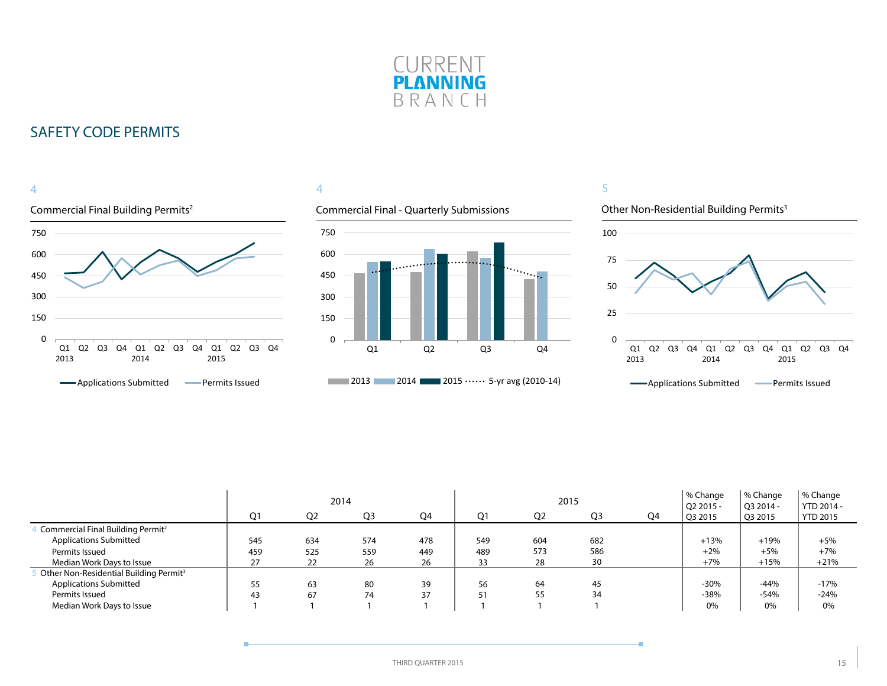



### 4

### Commercial Final - Quarterly Submissions





|                                                    | 2014           |                |                |     |     |                | 2015           | % Change<br>Q2 2015 - | % Change<br>O3 2014 - | % Change<br>YTD 2014 - |                 |
|----------------------------------------------------|----------------|----------------|----------------|-----|-----|----------------|----------------|-----------------------|-----------------------|------------------------|-----------------|
|                                                    | Q <sub>1</sub> | Q <sub>2</sub> | Q <sub>3</sub> | Q4  | Q1  | Q <sub>2</sub> | Q <sub>3</sub> | Q4                    | Q3 2015               | Q3 2015                | <b>YTD 2015</b> |
| Commercial Final Building Permit <sup>2</sup>      |                |                |                |     |     |                |                |                       |                       |                        |                 |
| <b>Applications Submitted</b>                      | 545            | 634            | 574            | 478 | 549 | 604            | 682            |                       | $+13%$                | $+19%$                 | $+5%$           |
| Permits Issued                                     | 459            | 525            | 559            | 449 | 489 | 573            | 586            |                       | $+2%$                 | $+5%$                  | $+7%$           |
| Median Work Days to Issue                          | 27             | 22             | 26             | 26  | 33  | 28             | 30             |                       | $+7%$                 | $+15%$                 | $+21%$          |
| Other Non-Residential Building Permit <sup>3</sup> |                |                |                |     |     |                |                |                       |                       |                        |                 |
| <b>Applications Submitted</b>                      | 55             | 63             | 80             | 39  | 56  | 64             | 45             |                       | $-30%$                | $-44%$                 | $-17%$          |
| Permits Issued                                     | 43             | 67             | 74             | 37  | 51  | 55             | 34             |                       | $-38%$                | $-54%$                 | $-24%$          |
| Median Work Days to Issue                          |                |                |                |     |     |                |                |                       | 0%                    | 0%                     | 0%              |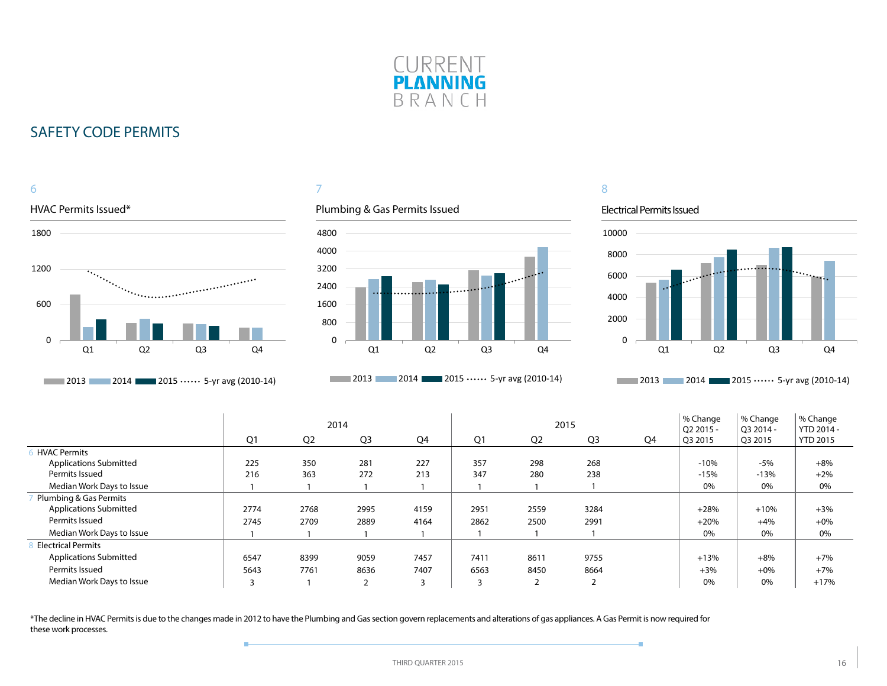



### 7

### Plumbing & Gas Permits Issued



**2013** 2014 **2015 ••••••** 5-yr avg (2010-14)

# 8

#### Electrical Permits Issued

÷



**2013** 2014 2015  $\cdots$  5-yr avg (2010-14)

|                               | 2014 |                |                |      |                |                          | 2015           | % Change<br>O <sub>2</sub> 2015 - | % Change<br>O3 2014 - | % Change<br>YTD 2014 - |                 |
|-------------------------------|------|----------------|----------------|------|----------------|--------------------------|----------------|-----------------------------------|-----------------------|------------------------|-----------------|
|                               | Q1   | Q <sub>2</sub> | Q <sub>3</sub> | Q4   | Q <sub>1</sub> | Q <sub>2</sub>           | Q <sub>3</sub> | Q4                                | Q3 2015               | Q3 2015                | <b>YTD 2015</b> |
| <b>HVAC Permits</b>           |      |                |                |      |                |                          |                |                                   |                       |                        |                 |
| <b>Applications Submitted</b> | 225  | 350            | 281            | 227  | 357            | 298                      | 268            |                                   | $-10%$                | $-5%$                  | $+8%$           |
| Permits Issued                | 216  | 363            | 272            | 213  | 347            | 280                      | 238            |                                   | $-15%$                | $-13%$                 | $+2%$           |
| Median Work Days to Issue     |      |                |                |      |                |                          |                |                                   | 0%                    | 0%                     | 0%              |
| Plumbing & Gas Permits        |      |                |                |      |                |                          |                |                                   |                       |                        |                 |
| <b>Applications Submitted</b> | 2774 | 2768           | 2995           | 4159 | 2951           | 2559                     | 3284           |                                   | $+28%$                | $+10%$                 | $+3%$           |
| Permits Issued                | 2745 | 2709           | 2889           | 4164 | 2862           | 2500                     | 2991           |                                   | $+20%$                | $+4%$                  | $+0%$           |
| Median Work Days to Issue     |      |                |                |      |                |                          |                |                                   | 0%                    | 0%                     | 0%              |
| <b>Electrical Permits</b>     |      |                |                |      |                |                          |                |                                   |                       |                        |                 |
| <b>Applications Submitted</b> | 6547 | 8399           | 9059           | 7457 | 7411           | 8611                     | 9755           |                                   | $+13%$                | $+8%$                  | $+7%$           |
| Permits Issued                | 5643 | 7761           | 8636           | 7407 | 6563           | 8450                     | 8664           |                                   | $+3%$                 | $+0%$                  | $+7%$           |
| Median Work Days to Issue     | 3    |                | $\overline{2}$ | 3    |                | $\overline{\phantom{0}}$ | $\overline{2}$ |                                   | 0%                    | 0%                     | $+17%$          |

\*The decline in HVAC Permits is due to the changes made in 2012 to have the Plumbing and Gas section govern replacements and alterations of gas appliances. A Gas Permit is now required for these work processes.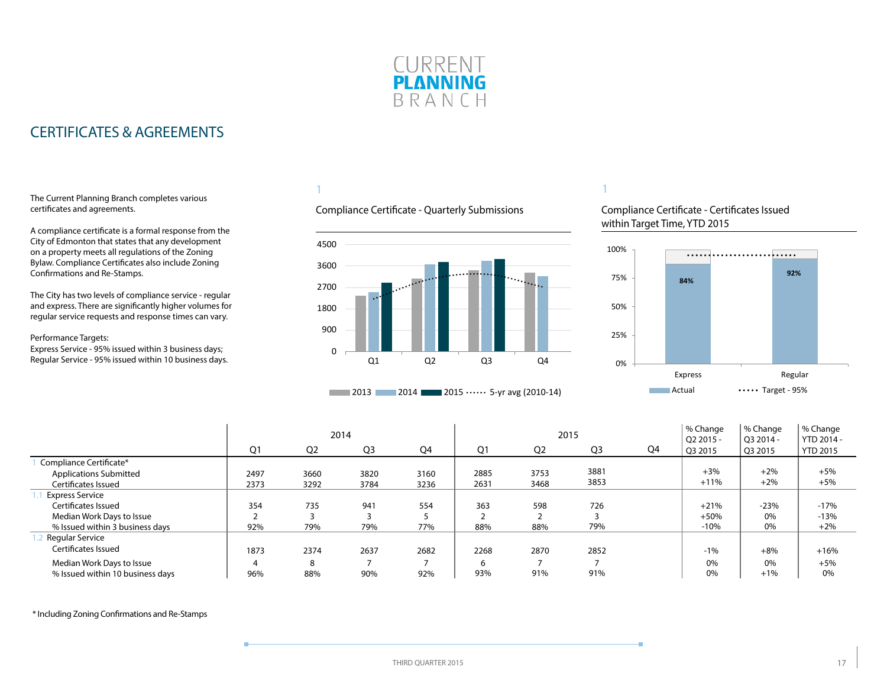

# <span id="page-16-0"></span>CERTIFICATES & AGREEMENTS

#### The Current Planning Branch completes various certificates and agreements.

A compliance certificate is a formal response from the City of Edmonton that states that any development on a property meets all regulations of the Zoning Bylaw. Compliance Certificates also include Zoning Confirmations and Re-Stamps.

The City has two levels of compliance service - regular and express. There are significantly higher volumes for regular service requests and response times can vary.

#### Performance Targets:

Express Service - 95% issued within 3 business days; Regular Service - 95% issued within 10 business days.

 $\mathbf{I}$ 

### 1

### Compliance Certificate - Quarterly Submissions



### **2013** 2014 2015  $\cdots$  5-yr avg (2010-14)

### 1

Compliance Certificate - Certificates Issued within Target Time, YTD 2015



|                                  | 2014 |                |                |      |                |                | 2015           | % Change<br>$O22015 -$ | % Change<br>O3 2014 - | % Change<br>YTD 2014 - |                 |
|----------------------------------|------|----------------|----------------|------|----------------|----------------|----------------|------------------------|-----------------------|------------------------|-----------------|
|                                  | Q1   | Q <sub>2</sub> | Q <sub>3</sub> | Q4   | Q <sub>1</sub> | Q <sub>2</sub> | Q <sub>3</sub> | Q4                     | Q3 2015               | Q3 2015                | <b>YTD 2015</b> |
| Compliance Certificate*          |      |                |                |      |                |                |                |                        |                       |                        |                 |
| <b>Applications Submitted</b>    | 2497 | 3660           | 3820           | 3160 | 2885           | 3753           | 3881           |                        | $+3%$                 | $+2%$                  | $+5%$           |
| Certificates Issued              | 2373 | 3292           | 3784           | 3236 | 2631           | 3468           | 3853           |                        | $+11%$                | $+2%$                  | $+5%$           |
| Express Service                  |      |                |                |      |                |                |                |                        |                       |                        |                 |
| Certificates Issued              | 354  | 735            | 941            | 554  | 363            | 598            | 726            |                        | $+21%$                | $-23%$                 | $-17%$          |
| Median Work Days to Issue        |      |                |                |      |                |                |                |                        | $+50%$                | 0%                     | $-13%$          |
| % Issued within 3 business days  | 92%  | 79%            | 79%            | 77%  | 88%            | 88%            | 79%            |                        | $-10%$                | 0%                     | $+2%$           |
| 1.2 Regular Service              |      |                |                |      |                |                |                |                        |                       |                        |                 |
| Certificates Issued              | 1873 | 2374           | 2637           | 2682 | 2268           | 2870           | 2852           |                        | $-1%$                 | $+8%$                  | $+16%$          |
| Median Work Days to Issue        | 4    |                |                |      | 6              |                |                |                        | 0%                    | 0%                     | $+5%$           |
| % Issued within 10 business days | 96%  | 88%            | 90%            | 92%  | 93%            | 91%            | 91%            |                        | 0%                    | $+1%$                  | 0%              |

\* Including Zoning Confirmations and Re-Stamps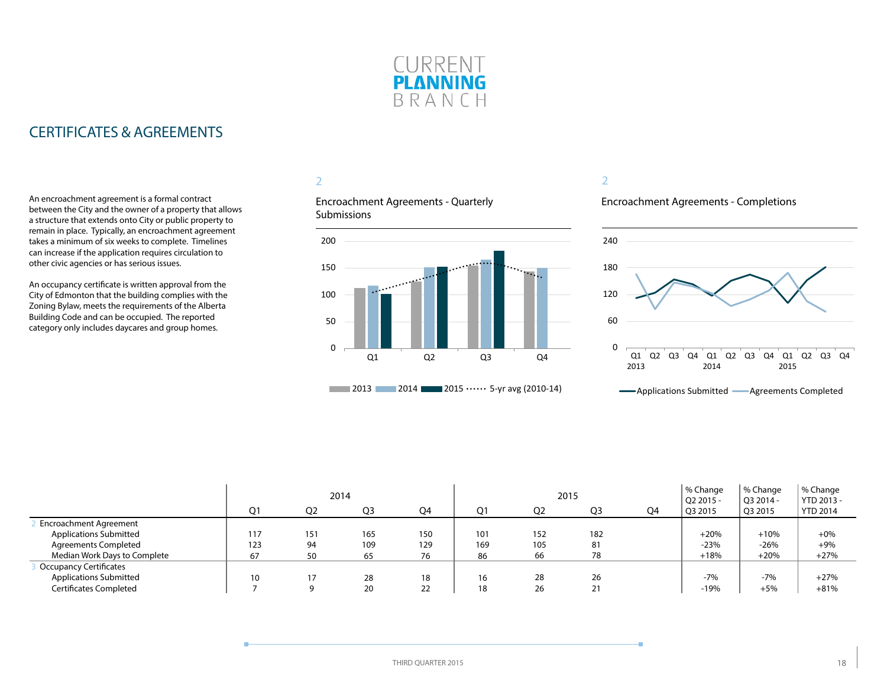

# CERTIFICATES & AGREEMENTS

An encroachment agreement is a formal contract between the City and the owner of a property that allows a structure that extends onto City or public property to remain in place. Typically, an encroachment agreement takes a minimum of six weeks to complete. Timelines can increase if the application requires circulation to other civic agencies or has serious issues.

An occupancy certificate is written approval from the City of Edmonton that the building complies with the Zoning Bylaw, meets the requirements of the Alberta Building Code and can be occupied. The reported category only includes daycares and group homes.

# 2

Encroachment Agreements - Quarterly **Submissions** 



#### 2

Encroachment Agreements - Completions



|                               | 2014 |                |     |     | 2015 |                |                |    | % Change<br>Q2 2015 - | % Change<br>O3 2014 - | % Change<br>YTD 2013 - |
|-------------------------------|------|----------------|-----|-----|------|----------------|----------------|----|-----------------------|-----------------------|------------------------|
|                               | Q1   | O <sub>2</sub> | Q3  | Q4  | Q1   | Q <sub>2</sub> | Q <sub>3</sub> | Q4 | Q32015                | Q3 2015               | <b>YTD 2014</b>        |
| <b>Encroachment Agreement</b> |      |                |     |     |      |                |                |    |                       |                       |                        |
| <b>Applications Submitted</b> | 117  | 151            | 165 | 150 | 101  | 152            | 182            |    | $+20%$                | $+10%$                | $+0\%$                 |
| <b>Agreements Completed</b>   | 123  | 94             | 109 | 129 | 169  | 105            | 81             |    | $-23%$                | $-26%$                | $+9%$                  |
| Median Work Days to Complete  | 67   | 50             | 65  | 76  | 86   | 66             | 78             |    | $+18%$                | $+20%$                | $+27%$                 |
| <b>Occupancy Certificates</b> |      |                |     |     |      |                |                |    |                       |                       |                        |
| <b>Applications Submitted</b> | 10   | 17             | 28  | 18  | 16   | 28             | 26             |    | $-7%$                 | $-7%$                 | $+27%$                 |
| Certificates Completed        |      |                | 20  | 22  | 18   | 26             | 21             |    | $-19%$                | $+5%$                 | $+81%$                 |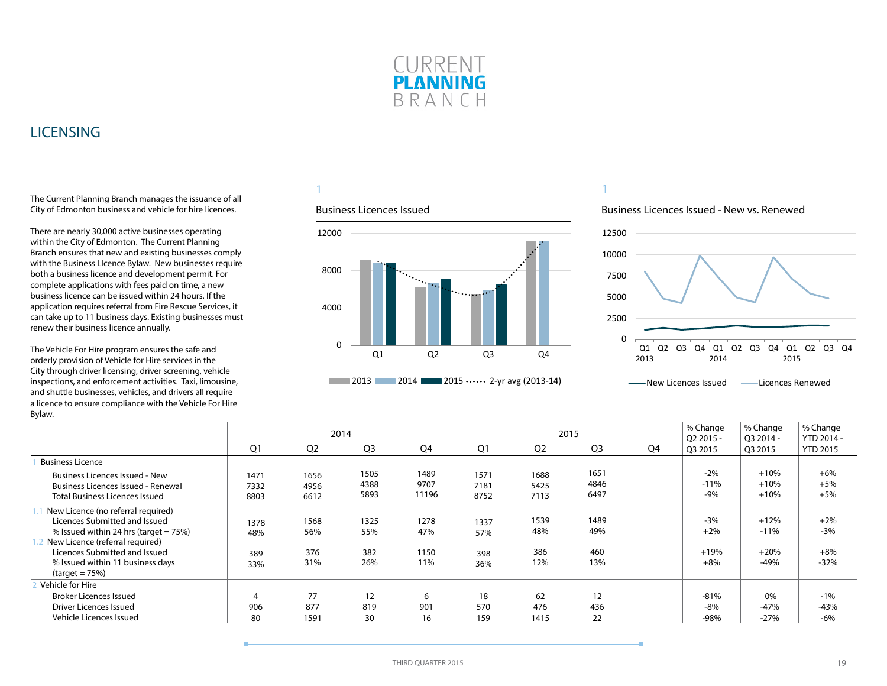

# <span id="page-18-0"></span>**LICENSING**

The Current Planning Branch manages the issuance of all City of Edmonton business and vehicle for hire licences.

There are nearly 30,000 active businesses operating within the City of Edmonton. The Current Planning Branch ensures that new and existing businesses comply with the Business LIcence Bylaw. New businesses require both a business licence and development permit. For complete applications with fees paid on time, a new business licence can be issued within 24 hours. If the application requires referral from Fire Rescue Services, it can take up to 11 business days. Existing businesses must renew their business licence annually.

The Vehicle For Hire program ensures the safe and orderly provision of Vehicle for Hire services in the City through driver licensing, driver screening, vehicle inspections, and enforcement activities. Taxi, limousine, and shuttle businesses, vehicles, and drivers all require a licence to ensure compliance with the Vehicle For Hire Bylaw.

 $\mathbf{I}$ 

# 1

#### Business Licences Issued



### 1

#### Business Licences Issued - New vs. Renewed



**Wew Licences Issued Communication** Licences Renewed

|                                                                                                                             |                      |                      | 2014                 |                       |                      |                      | 2015                 | % Change<br>Q2 2015 - | % Change<br>Q3 2014 -     | % Change<br>YTD 2014 -     |                          |
|-----------------------------------------------------------------------------------------------------------------------------|----------------------|----------------------|----------------------|-----------------------|----------------------|----------------------|----------------------|-----------------------|---------------------------|----------------------------|--------------------------|
|                                                                                                                             | Q1                   | Q <sub>2</sub>       | Q <sub>3</sub>       | Q4                    | Q1                   | Q <sub>2</sub>       | Q <sub>3</sub>       | Q4                    | Q3 2015                   | Q3 2015                    | <b>YTD 2015</b>          |
| <b>Business Licence</b>                                                                                                     |                      |                      |                      |                       |                      |                      |                      |                       |                           |                            |                          |
| <b>Business Licences Issued - New</b><br><b>Business Licences Issued - Renewal</b><br><b>Total Business Licences Issued</b> | 1471<br>7332<br>8803 | 1656<br>4956<br>6612 | 1505<br>4388<br>5893 | 1489<br>9707<br>11196 | 1571<br>7181<br>8752 | 1688<br>5425<br>7113 | 1651<br>4846<br>6497 |                       | $-2%$<br>$-11%$<br>$-9%$  | $+10%$<br>$+10%$<br>$+10%$ | $+6%$<br>$+5%$<br>$+5%$  |
| New Licence (no referral required)<br>Licences Submitted and Issued<br>% Issued within 24 hrs (target $= 75\%$ )            | 1378<br>48%          | 1568<br>56%          | 1325<br>55%          | 1278<br>47%           | 1337<br>57%          | 1539<br>48%          | 1489<br>49%          |                       | $-3%$<br>$+2%$            | $+12%$<br>$-11%$           | $+2%$<br>$-3%$           |
| New Licence (referral required)<br>Licences Submitted and Issued<br>% Issued within 11 business days<br>$(target = 75%)$    | 389<br>33%           | 376<br>31%           | 382<br>26%           | 1150<br>11%           | 398<br>36%           | 386<br>12%           | 460<br>13%           |                       | $+19%$<br>$+8%$           | $+20%$<br>-49%             | $+8%$<br>$-32%$          |
| Vehicle for Hire<br><b>Broker Licences Issued</b><br>Driver Licences Issued<br>Vehicle Licences Issued                      | 4<br>906<br>80       | 77<br>877<br>1591    | 12<br>819<br>30      | 6<br>901<br>16        | 18<br>570<br>159     | 62<br>476<br>1415    | 12<br>436<br>22      |                       | $-81%$<br>$-8%$<br>$-98%$ | $0\%$<br>$-47%$<br>$-27%$  | $-1%$<br>$-43%$<br>$-6%$ |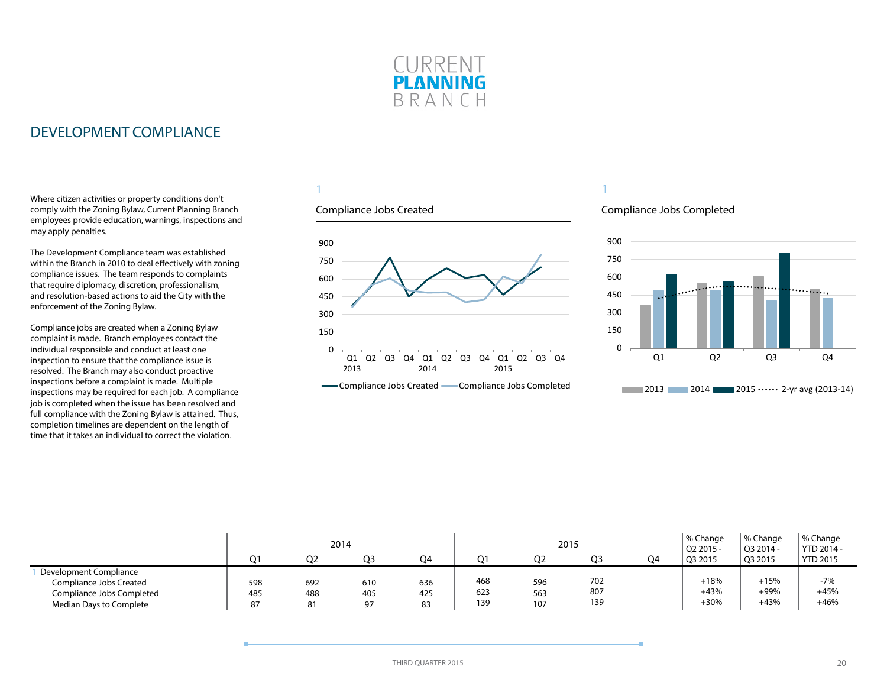

# <span id="page-19-0"></span>DEVELOPMENT COMPLIANCE

Where citizen activities or property conditions don't comply with the Zoning Bylaw, Current Planning Branch employees provide education, warnings, inspections and may apply penalties.

The Development Compliance team was established within the Branch in 2010 to deal effectively with zoning compliance issues. The team responds to complaints that require diplomacy, discretion, professionalism, and resolution-based actions to aid the City with the enforcement of the Zoning Bylaw.

Compliance jobs are created when a Zoning Bylaw complaint is made. Branch employees contact the individual responsible and conduct at least one inspection to ensure that the compliance issue is resolved. The Branch may also conduct proactive inspections before a complaint is made. Multiple inspections may be required for each job. A compliance job is completed when the issue has been resolved and full compliance with the Zoning Bylaw is attained. Thus, completion timelines are dependent on the length of time that it takes an individual to correct the violation.

### 1

### Compliance Jobs Created



#### -Compliance Jobs Created - Compliance Jobs Completed

# 1

#### Compliance Jobs Completed



|                                                                                                           | ∩1               | O2               | 2014<br>Q3       | Q4               | Ω1                | 2015<br>Q <sub>2</sub> | O <sub>3</sub>    | Q4 | % Change<br>$Q22015 -$<br>$^{\circ}$ Q3 2015 | % Change<br>Q3 2014 -<br>Q3 2015 | % Change<br>YTD 2014 -<br><b>YTD 2015</b> |
|-----------------------------------------------------------------------------------------------------------|------------------|------------------|------------------|------------------|-------------------|------------------------|-------------------|----|----------------------------------------------|----------------------------------|-------------------------------------------|
| Development Compliance<br>Compliance Jobs Created<br>Compliance Jobs Completed<br>Median Days to Complete | 598<br>485<br>87 | 692<br>488<br>81 | 610<br>405<br>97 | 636<br>425<br>83 | 468<br>623<br>139 | 596<br>563<br>107      | 702<br>807<br>139 |    | $+18%$<br>$+43%$<br>$+30%$                   | $+15%$<br>+99%<br>$+43%$         | $-7%$<br>$+45%$<br>$+46%$                 |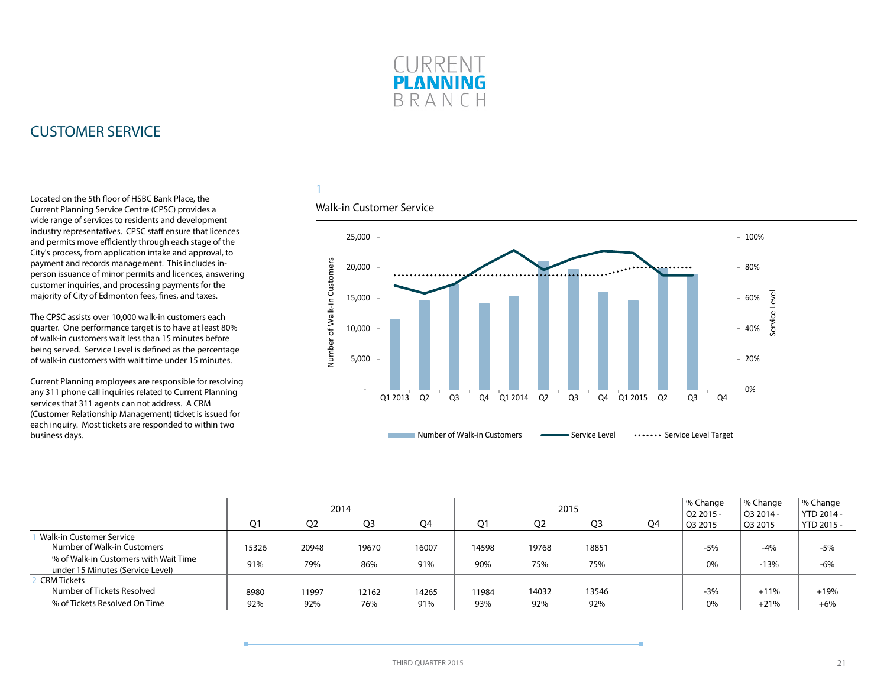

# <span id="page-20-0"></span>CUSTOMER SERVICE

Located on the 5th floor of HSBC Bank Place, the Current Planning Service Centre (CPSC) provides a wide range of services to residents and development industry representatives. CPSC staff ensure that licences and permits move efficiently through each stage of the City's process, from application intake and approval, to payment and records management. This includes inperson issuance of minor permits and licences, answering customer inquiries, and processing payments for the majority of City of Edmonton fees, fines, and taxes.

The CPSC assists over 10,000 walk-in customers each quarter. One performance target is to have at least 80% of walk-in customers wait less than 15 minutes before being served. Service Level is defined as the percentage of walk-in customers with wait time under 15 minutes.

Current Planning employees are responsible for resolving any 311 phone call inquiries related to Current Planning services that 311 agents can not address. A CRM (Customer Relationship Management) ticket is issued for each inquiry. Most tickets are responded to within two business days.

# 1

#### Walk-in Customer Service



|                                                                           | 2014  |                |                |       |       |                | 2015           | % Change<br>$O22015 -$ | % Change<br>O3 2014 - | % Change<br>YTD 2014 - |            |
|---------------------------------------------------------------------------|-------|----------------|----------------|-------|-------|----------------|----------------|------------------------|-----------------------|------------------------|------------|
|                                                                           | Q1    | O <sub>2</sub> | Q <sub>3</sub> | Q4    | Ο1    | Q <sub>2</sub> | Q <sub>3</sub> | Q4                     | Q3 2015               | Q3 2015                | YTD 2015 - |
| Walk-in Customer Service<br>Number of Walk-in Customers                   | 15326 | 20948          | 19670          | 16007 | 14598 | 19768          | 18851          |                        | $-5%$                 | $-4%$                  | $-5%$      |
| % of Walk-in Customers with Wait Time<br>under 15 Minutes (Service Level) | 91%   | 79%            | 86%            | 91%   | 90%   | 75%            | 75%            |                        | 0%                    | $-13%$                 | $-6%$      |
| <b>CRM Tickets</b>                                                        |       |                |                |       |       |                |                |                        |                       |                        |            |
| Number of Tickets Resolved                                                | 8980  | 11997          | 12162          | 14265 | 11984 | 14032          | 13546          |                        | $-3%$                 | $+11%$                 | $+19%$     |
| % of Tickets Resolved On Time                                             | 92%   | 92%            | 76%            | 91%   | 93%   | 92%            | 92%            |                        | 0%                    | $+21%$                 | $+6%$      |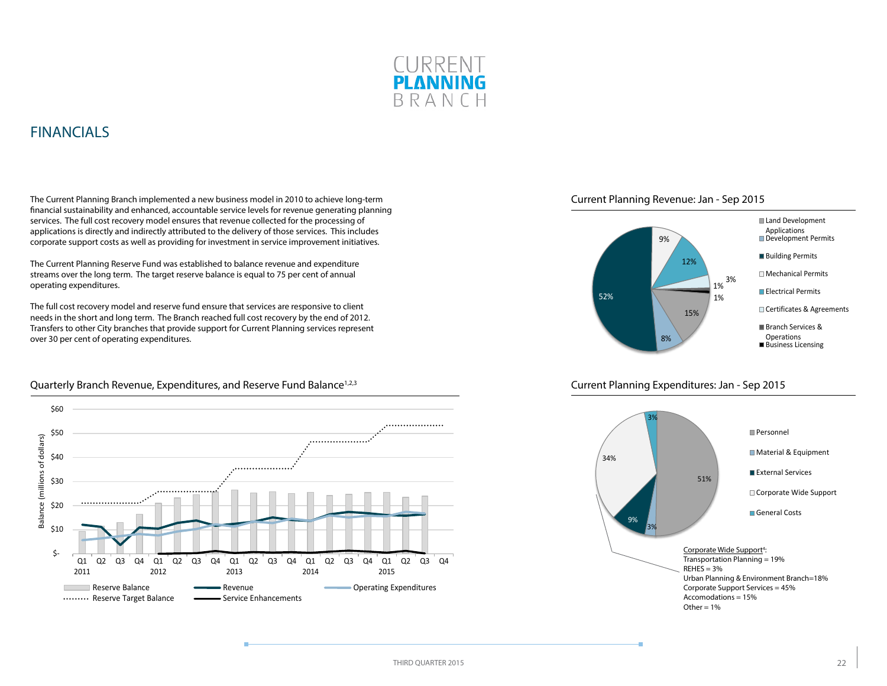

# <span id="page-21-0"></span>FINANCIALS

The Current Planning Branch implemented a new business model in 2010 to achieve long-term financial sustainability and enhanced, accountable service levels for revenue generating planning services. The full cost recovery model ensures that revenue collected for the processing of applications is directly and indirectly attributed to the delivery of those services. This includes corporate support costs as well as providing for investment in service improvement initiatives.

The Current Planning Reserve Fund was established to balance revenue and expenditure streams over the long term. The target reserve balance is equal to 75 per cent of annual operating expenditures.

The full cost recovery model and reserve fund ensure that services are responsive to client needs in the short and long term. The Branch reached full cost recovery by the end of 2012. Transfers to other City branches that provide support for Current Planning services represent over 30 per cent of operating expenditures.



#### Quarterly Branch Revenue, Expenditures, and Reserve Fund Balance<sup>1,2,3</sup>





#### Current Planning Expenditures: Jan - Sep 2015